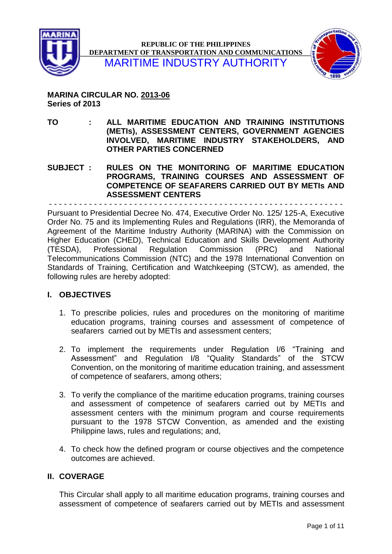



**MARINA CIRCULAR NO. 2013-06 Series of 2013**

**TO : ALL MARITIME EDUCATION AND TRAINING INSTITUTIONS (METIs), ASSESSMENT CENTERS, GOVERNMENT AGENCIES INVOLVED, MARITIME INDUSTRY STAKEHOLDERS, AND OTHER PARTIES CONCERNED**

**SUBJECT : RULES ON THE MONITORING OF MARITIME EDUCATION PROGRAMS, TRAINING COURSES AND ASSESSMENT OF COMPETENCE OF SEAFARERS CARRIED OUT BY METIs AND ASSESSMENT CENTERS**

- - - - - - - - - - - - - - - - - - - - - - - - - - - - - - - - - - - - - - - - - - - - - - - - - - - - - - - - - - -

Pursuant to Presidential Decree No. 474, Executive Order No. 125/ 125-A, Executive Order No. 75 and its Implementing Rules and Regulations (IRR), the Memoranda of Agreement of the Maritime Industry Authority (MARINA) with the Commission on Higher Education (CHED), Technical Education and Skills Development Authority (TESDA), Professional Regulation Commission (PRC) and National Telecommunications Commission (NTC) and the 1978 International Convention on Standards of Training, Certification and Watchkeeping (STCW), as amended, the following rules are hereby adopted:

# **I. OBJECTIVES**

- 1. To prescribe policies, rules and procedures on the monitoring of maritime education programs, training courses and assessment of competence of seafarers carried out by METIs and assessment centers;
- 2. To implement the requirements under Regulation I/6 "Training and Assessment" and Regulation I/8 "Quality Standards" of the STCW Convention, on the monitoring of maritime education training, and assessment of competence of seafarers, among others;
- 3. To verify the compliance of the maritime education programs, training courses and assessment of competence of seafarers carried out by METIs and assessment centers with the minimum program and course requirements pursuant to the 1978 STCW Convention, as amended and the existing Philippine laws, rules and regulations; and,
- 4. To check how the defined program or course objectives and the competence outcomes are achieved.

# **II. COVERAGE**

This Circular shall apply to all maritime education programs, training courses and assessment of competence of seafarers carried out by METIs and assessment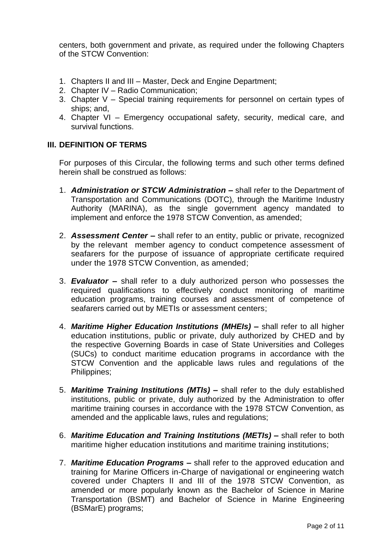centers, both government and private, as required under the following Chapters of the STCW Convention:

- 1. Chapters II and III Master, Deck and Engine Department;
- 2. Chapter IV Radio Communication;
- 3. Chapter V Special training requirements for personnel on certain types of ships; and,
- 4. Chapter VI Emergency occupational safety, security, medical care, and survival functions.

## **III. DEFINITION OF TERMS**

For purposes of this Circular, the following terms and such other terms defined herein shall be construed as follows:

- 1. *Administration or STCW Administration –* shall refer to the Department of Transportation and Communications (DOTC), through the Maritime Industry Authority (MARINA), as the single government agency mandated to implement and enforce the 1978 STCW Convention, as amended;
- 2. *Assessment Center –* shall refer to an entity, public or private, recognized by the relevant member agency to conduct competence assessment of seafarers for the purpose of issuance of appropriate certificate required under the 1978 STCW Convention, as amended;
- 3. *Evaluator* **–** shall refer to a duly authorized person who possesses the required qualifications to effectively conduct monitoring of maritime education programs, training courses and assessment of competence of seafarers carried out by METIs or assessment centers;
- 4. *Maritime Higher Education Institutions (MHEIs) –* shall refer to all higher education institutions, public or private, duly authorized by CHED and by the respective Governing Boards in case of State Universities and Colleges (SUCs) to conduct maritime education programs in accordance with the STCW Convention and the applicable laws rules and regulations of the Philippines;
- 5. *Maritime Training Institutions (MTIs) –* shall refer to the duly established institutions, public or private, duly authorized by the Administration to offer maritime training courses in accordance with the 1978 STCW Convention, as amended and the applicable laws, rules and regulations;
- 6. *Maritime Education and Training Institutions (METIs) –* shall refer to both maritime higher education institutions and maritime training institutions;
- 7. *Maritime Education Programs –* shall refer to the approved education and training for Marine Officers in-Charge of navigational or engineering watch covered under Chapters II and III of the 1978 STCW Convention, as amended or more popularly known as the Bachelor of Science in Marine Transportation (BSMT) and Bachelor of Science in Marine Engineering (BSMarE) programs;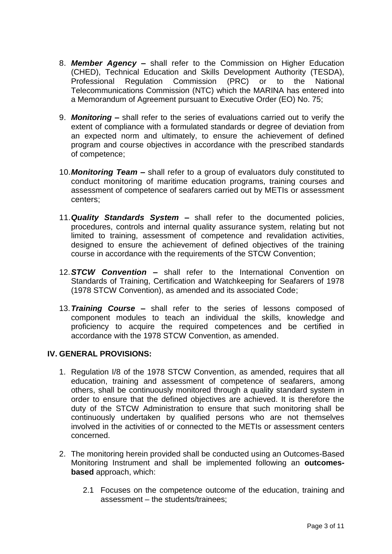- 8. *Member Agency –* shall refer to the Commission on Higher Education (CHED), Technical Education and Skills Development Authority (TESDA), Professional Regulation Commission (PRC) or to the National Telecommunications Commission (NTC) which the MARINA has entered into a Memorandum of Agreement pursuant to Executive Order (EO) No. 75;
- 9. *Monitoring –* shall refer to the series of evaluations carried out to verify the extent of compliance with a formulated standards or degree of deviation from an expected norm and ultimately, to ensure the achievement of defined program and course objectives in accordance with the prescribed standards of competence;
- 10.*Monitoring Team –* shall refer to a group of evaluators duly constituted to conduct monitoring of maritime education programs, training courses and assessment of competence of seafarers carried out by METIs or assessment centers;
- 11.*Quality Standards System –* shall refer to the documented policies, procedures, controls and internal quality assurance system, relating but not limited to training, assessment of competence and revalidation activities, designed to ensure the achievement of defined objectives of the training course in accordance with the requirements of the STCW Convention;
- 12.*STCW Convention –* shall refer to the International Convention on Standards of Training, Certification and Watchkeeping for Seafarers of 1978 (1978 STCW Convention), as amended and its associated Code;
- 13.*Training Course –* shall refer to the series of lessons composed of component modules to teach an individual the skills, knowledge and proficiency to acquire the required competences and be certified in accordance with the 1978 STCW Convention, as amended.

# **IV. GENERAL PROVISIONS:**

- 1. Regulation I/8 of the 1978 STCW Convention, as amended, requires that all education, training and assessment of competence of seafarers, among others, shall be continuously monitored through a quality standard system in order to ensure that the defined objectives are achieved. It is therefore the duty of the STCW Administration to ensure that such monitoring shall be continuously undertaken by qualified persons who are not themselves involved in the activities of or connected to the METIs or assessment centers concerned.
- 2. The monitoring herein provided shall be conducted using an Outcomes-Based Monitoring Instrument and shall be implemented following an **outcomesbased** approach, which:
	- 2.1 Focuses on the competence outcome of the education, training and assessment – the students/trainees;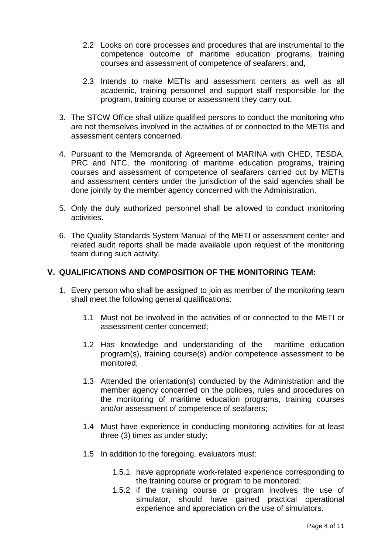- 2.2 Looks on core processes and procedures that are instrumental to the competence outcome of maritime education programs, training courses and assessment of competence of seafarers; and,
- 2.3 Intends to make METIs and assessment centers as well as all academic, training personnel and support staff responsible for the program, training course or assessment they carry out.
- 3. The STCW Office shall utilize qualified persons to conduct the monitoring who are not themselves involved in the activities of or connected to the METIs and assessment centers concerned.
- 4. Pursuant to the Memoranda of Agreement of MARINA with CHED, TESDA, PRC and NTC, the monitoring of maritime education programs, training courses and assessment of competence of seafarers carried out by METIs and assessment centers under the jurisdiction of the said agencies shall be done jointly by the member agency concerned with the Administration.
- 5. Only the duly authorized personnel shall be allowed to conduct monitoring activities.
- 6. The Quality Standards System Manual of the METI or assessment center and related audit reports shall be made available upon request of the monitoring team during such activity.

### **V. QUALIFICATIONS AND COMPOSITION OF THE MONITORING TEAM:**

- 1. Every person who shall be assigned to join as member of the monitoring team shall meet the following general qualifications:
	- 1.1 Must not be involved in the activities of or connected to the METI or assessment center concerned;
	- 1.2 Has knowledge and understanding of the maritime education program(s), training course(s) and/or competence assessment to be monitored;
	- 1.3 Attended the orientation(s) conducted by the Administration and the member agency concerned on the policies, rules and procedures on the monitoring of maritime education programs, training courses and/or assessment of competence of seafarers;
	- 1.4 Must have experience in conducting monitoring activities for at least three (3) times as under study;
	- 1.5 In addition to the foregoing, evaluators must:
		- 1.5.1 have appropriate work-related experience corresponding to the training course or program to be monitored;
		- 1.5.2 if the training course or program involves the use of simulator, should have gained practical operational experience and appreciation on the use of simulators.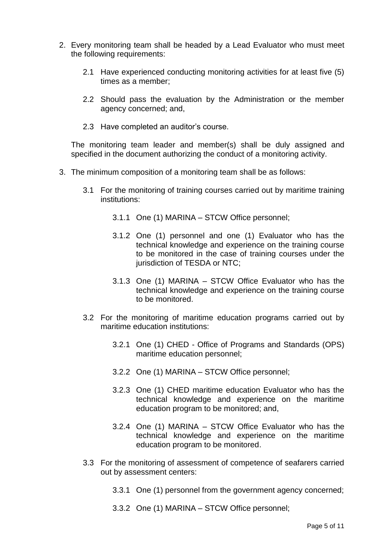- 2. Every monitoring team shall be headed by a Lead Evaluator who must meet the following requirements:
	- 2.1 Have experienced conducting monitoring activities for at least five (5) times as a member;
	- 2.2 Should pass the evaluation by the Administration or the member agency concerned; and,
	- 2.3 Have completed an auditor's course.

The monitoring team leader and member(s) shall be duly assigned and specified in the document authorizing the conduct of a monitoring activity.

- 3. The minimum composition of a monitoring team shall be as follows:
	- 3.1 For the monitoring of training courses carried out by maritime training institutions:
		- 3.1.1 One (1) MARINA STCW Office personnel;
		- 3.1.2 One (1) personnel and one (1) Evaluator who has the technical knowledge and experience on the training course to be monitored in the case of training courses under the jurisdiction of TESDA or NTC;
		- 3.1.3 One (1) MARINA STCW Office Evaluator who has the technical knowledge and experience on the training course to be monitored.
	- 3.2 For the monitoring of maritime education programs carried out by maritime education institutions:
		- 3.2.1 One (1) CHED Office of Programs and Standards (OPS) maritime education personnel;
		- 3.2.2 One (1) MARINA STCW Office personnel;
		- 3.2.3 One (1) CHED maritime education Evaluator who has the technical knowledge and experience on the maritime education program to be monitored; and,
		- 3.2.4 One (1) MARINA STCW Office Evaluator who has the technical knowledge and experience on the maritime education program to be monitored.
	- 3.3 For the monitoring of assessment of competence of seafarers carried out by assessment centers:
		- 3.3.1 One (1) personnel from the government agency concerned;
		- 3.3.2 One (1) MARINA STCW Office personnel;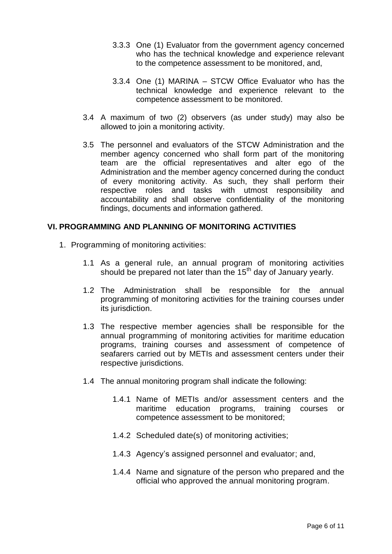- 3.3.3 One (1) Evaluator from the government agency concerned who has the technical knowledge and experience relevant to the competence assessment to be monitored, and,
- 3.3.4 One (1) MARINA STCW Office Evaluator who has the technical knowledge and experience relevant to the competence assessment to be monitored.
- 3.4 A maximum of two (2) observers (as under study) may also be allowed to join a monitoring activity.
- 3.5 The personnel and evaluators of the STCW Administration and the member agency concerned who shall form part of the monitoring team are the official representatives and alter ego of the Administration and the member agency concerned during the conduct of every monitoring activity. As such, they shall perform their respective roles and tasks with utmost responsibility and accountability and shall observe confidentiality of the monitoring findings, documents and information gathered.

#### **VI. PROGRAMMING AND PLANNING OF MONITORING ACTIVITIES**

- 1. Programming of monitoring activities:
	- 1.1 As a general rule, an annual program of monitoring activities should be prepared not later than the 15<sup>th</sup> day of January yearly.
	- 1.2 The Administration shall be responsible for the annual programming of monitoring activities for the training courses under its jurisdiction.
	- 1.3 The respective member agencies shall be responsible for the annual programming of monitoring activities for maritime education programs, training courses and assessment of competence of seafarers carried out by METIs and assessment centers under their respective jurisdictions.
	- 1.4 The annual monitoring program shall indicate the following:
		- 1.4.1 Name of METIs and/or assessment centers and the maritime education programs, training courses or competence assessment to be monitored;
		- 1.4.2 Scheduled date(s) of monitoring activities;
		- 1.4.3 Agency's assigned personnel and evaluator; and,
		- 1.4.4 Name and signature of the person who prepared and the official who approved the annual monitoring program.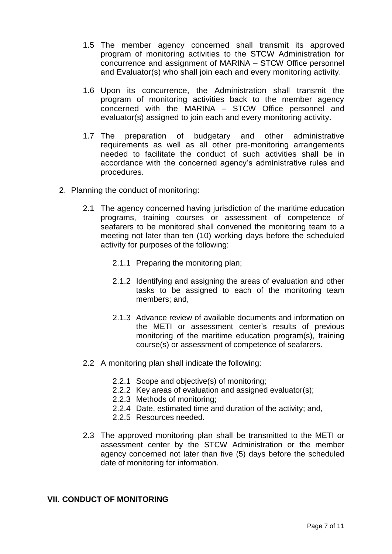- 1.5 The member agency concerned shall transmit its approved program of monitoring activities to the STCW Administration for concurrence and assignment of MARINA – STCW Office personnel and Evaluator(s) who shall join each and every monitoring activity.
- 1.6 Upon its concurrence, the Administration shall transmit the program of monitoring activities back to the member agency concerned with the MARINA – STCW Office personnel and evaluator(s) assigned to join each and every monitoring activity.
- 1.7 The preparation of budgetary and other administrative requirements as well as all other pre-monitoring arrangements needed to facilitate the conduct of such activities shall be in accordance with the concerned agency's administrative rules and procedures.
- 2. Planning the conduct of monitoring:
	- 2.1 The agency concerned having jurisdiction of the maritime education programs, training courses or assessment of competence of seafarers to be monitored shall convened the monitoring team to a meeting not later than ten (10) working days before the scheduled activity for purposes of the following:
		- 2.1.1 Preparing the monitoring plan;
		- 2.1.2 Identifying and assigning the areas of evaluation and other tasks to be assigned to each of the monitoring team members; and,
		- 2.1.3 Advance review of available documents and information on the METI or assessment center's results of previous monitoring of the maritime education program(s), training course(s) or assessment of competence of seafarers.
	- 2.2 A monitoring plan shall indicate the following:
		- 2.2.1 Scope and objective(s) of monitoring;
		- 2.2.2 Key areas of evaluation and assigned evaluator(s);
		- 2.2.3 Methods of monitoring;
		- 2.2.4 Date, estimated time and duration of the activity; and,
		- 2.2.5 Resources needed.
	- 2.3 The approved monitoring plan shall be transmitted to the METI or assessment center by the STCW Administration or the member agency concerned not later than five (5) days before the scheduled date of monitoring for information.

#### **VII. CONDUCT OF MONITORING**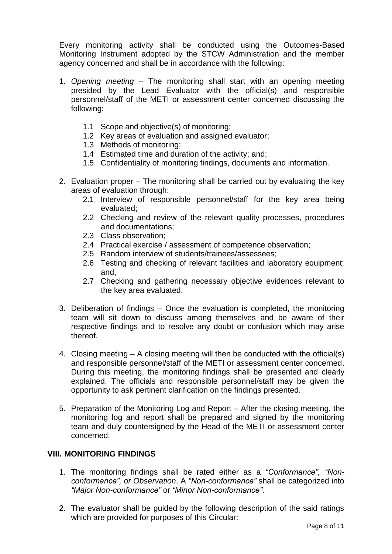Every monitoring activity shall be conducted using the Outcomes-Based Monitoring Instrument adopted by the STCW Administration and the member agency concerned and shall be in accordance with the following:

- 1. *Opening meeting* The monitoring shall start with an opening meeting presided by the Lead Evaluator with the official(s) and responsible personnel/staff of the METI or assessment center concerned discussing the following:
	- 1.1 Scope and objective(s) of monitoring;
	- 1.2 Key areas of evaluation and assigned evaluator;
	- 1.3 Methods of monitoring;
	- 1.4 Estimated time and duration of the activity; and;
	- 1.5 Confidentiality of monitoring findings, documents and information.
- 2. Evaluation proper The monitoring shall be carried out by evaluating the key areas of evaluation through:
	- 2.1 Interview of responsible personnel/staff for the key area being evaluated;
	- 2.2 Checking and review of the relevant quality processes, procedures and documentations;
	- 2.3 Class observation;
	- 2.4 Practical exercise / assessment of competence observation;
	- 2.5 Random interview of students/trainees/assessees;
	- 2.6 Testing and checking of relevant facilities and laboratory equipment; and,
	- 2.7 Checking and gathering necessary objective evidences relevant to the key area evaluated.
- 3. Deliberation of findings Once the evaluation is completed, the monitoring team will sit down to discuss among themselves and be aware of their respective findings and to resolve any doubt or confusion which may arise thereof.
- 4. Closing meeting A closing meeting will then be conducted with the official(s) and responsible personnel/staff of the METI or assessment center concerned. During this meeting, the monitoring findings shall be presented and clearly explained. The officials and responsible personnel/staff may be given the opportunity to ask pertinent clarification on the findings presented.
- 5. Preparation of the Monitoring Log and Report After the closing meeting, the monitoring log and report shall be prepared and signed by the monitoring team and duly countersigned by the Head of the METI or assessment center concerned.

### **VIII. MONITORING FINDINGS**

- 1. The monitoring findings shall be rated either as a *"Conformance", "Nonconformance", or Observation*. A *"Non-conformance"* shall be categorized into *"Major Non-conformance"* or *"Minor Non-conformance"*.
- 2. The evaluator shall be guided by the following description of the said ratings which are provided for purposes of this Circular: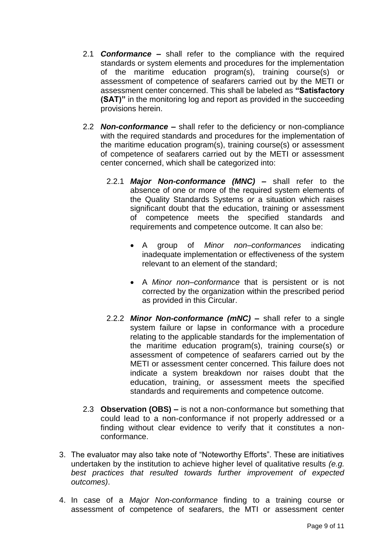- 2.1 *Conformance –* shall refer to the compliance with the required standards or system elements and procedures for the implementation of the maritime education program(s), training course(s) or assessment of competence of seafarers carried out by the METI or assessment center concerned. This shall be labeled as **"Satisfactory (SAT)"** in the monitoring log and report as provided in the succeeding provisions herein.
- 2.2 *Non-conformance –* shall refer to the deficiency or non-compliance with the required standards and procedures for the implementation of the maritime education program(s), training course(s) or assessment of competence of seafarers carried out by the METI or assessment center concerned, which shall be categorized into:
	- 2.2.1 *Major Non-conformance (MNC) –* shall refer to the absence of one or more of the required system elements of the Quality Standards Systems *or* a situation which raises significant doubt that the education, training or assessment of competence meets the specified standards and requirements and competence outcome. It can also be:
		- A group of *Minor non–conformances* indicating inadequate implementation or effectiveness of the system relevant to an element of the standard;
		- A *Minor non–conformance* that is persistent or is not corrected by the organization within the prescribed period as provided in this Circular.
	- 2.2.2 *Minor Non-conformance (mNC) –* shall refer to a single system failure or lapse in conformance with a procedure relating to the applicable standards for the implementation of the maritime education program(s), training course(s) or assessment of competence of seafarers carried out by the METI or assessment center concerned. This failure does not indicate a system breakdown nor raises doubt that the education, training, or assessment meets the specified standards and requirements and competence outcome.
- 2.3 **Observation (OBS)** *–* is not a non-conformance but something that could lead to a non-conformance if not properly addressed or a finding without clear evidence to verify that it constitutes a nonconformance.
- 3. The evaluator may also take note of "Noteworthy Efforts". These are initiatives undertaken by the institution to achieve higher level of qualitative results *(e.g. best practices that resulted towards further improvement of expected outcomes)*.
- 4. In case of a *Major Non-conformance* finding to a training course or assessment of competence of seafarers, the MTI or assessment center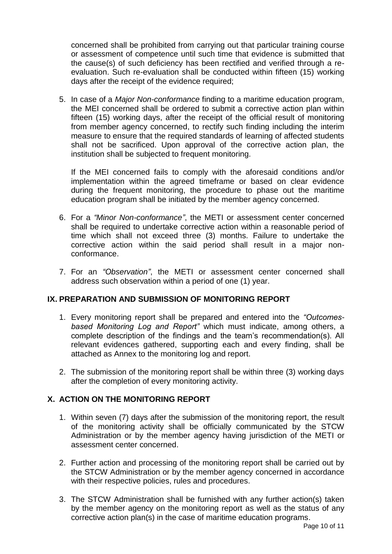concerned shall be prohibited from carrying out that particular training course or assessment of competence until such time that evidence is submitted that the cause(s) of such deficiency has been rectified and verified through a reevaluation. Such re-evaluation shall be conducted within fifteen (15) working days after the receipt of the evidence required;

5. In case of a *Major Non-conformance* finding to a maritime education program, the MEI concerned shall be ordered to submit a corrective action plan within fifteen (15) working days, after the receipt of the official result of monitoring from member agency concerned, to rectify such finding including the interim measure to ensure that the required standards of learning of affected students shall not be sacrificed. Upon approval of the corrective action plan, the institution shall be subjected to frequent monitoring.

If the MEI concerned fails to comply with the aforesaid conditions and/or implementation within the agreed timeframe or based on clear evidence during the frequent monitoring, the procedure to phase out the maritime education program shall be initiated by the member agency concerned.

- 6. For a *"Minor Non-conformance"*, the METI or assessment center concerned shall be required to undertake corrective action within a reasonable period of time which shall not exceed three (3) months. Failure to undertake the corrective action within the said period shall result in a major nonconformance.
- 7. For an *"Observation"*, the METI or assessment center concerned shall address such observation within a period of one (1) year.

# **IX. PREPARATION AND SUBMISSION OF MONITORING REPORT**

- 1. Every monitoring report shall be prepared and entered into the *"Outcomesbased Monitoring Log and Report"* which must indicate, among others, a complete description of the findings and the team's recommendation(s). All relevant evidences gathered, supporting each and every finding, shall be attached as Annex to the monitoring log and report.
- 2. The submission of the monitoring report shall be within three (3) working days after the completion of every monitoring activity.

# **X. ACTION ON THE MONITORING REPORT**

- 1. Within seven (7) days after the submission of the monitoring report, the result of the monitoring activity shall be officially communicated by the STCW Administration or by the member agency having jurisdiction of the METI or assessment center concerned.
- 2. Further action and processing of the monitoring report shall be carried out by the STCW Administration or by the member agency concerned in accordance with their respective policies, rules and procedures.
- 3. The STCW Administration shall be furnished with any further action(s) taken by the member agency on the monitoring report as well as the status of any corrective action plan(s) in the case of maritime education programs.